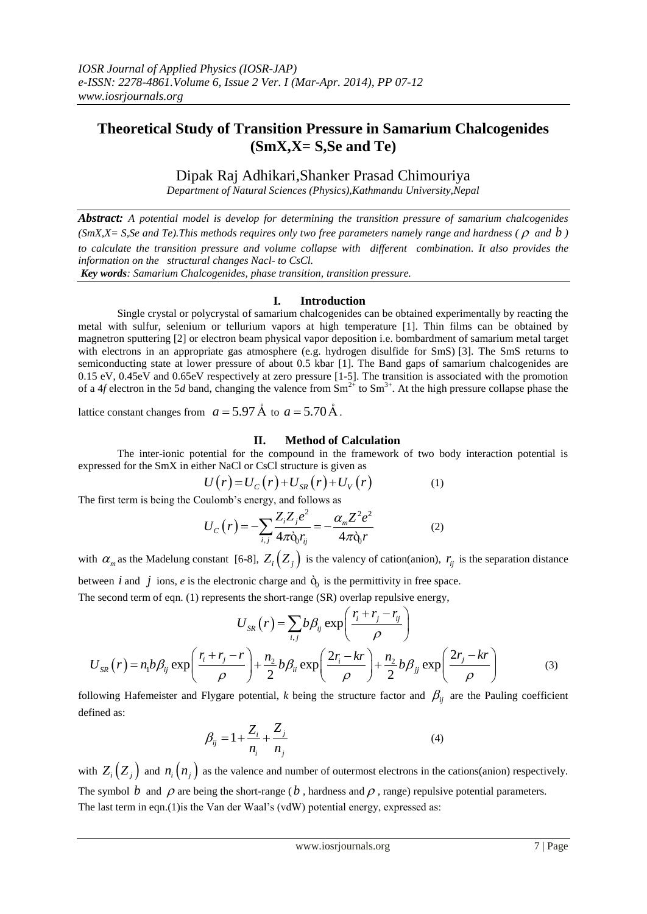# **Theoretical Study of Transition Pressure in Samarium Chalcogenides (SmX,X= S,Se and Te)**

Dipak Raj Adhikari,Shanker Prasad Chimouriya

*Department of Natural Sciences (Physics),Kathmandu University,Nepal*

*Abstract: A potential model is develop for determining the transition pressure of samarium chalcogenides (SmX,X= S,Se and Te).This methods requires only two free parameters namely range and hardness (* $\rho$  *and*  $b$ *) to calculate the transition pressure and volume collapse with different combination. It also provides the information on the structural changes Nacl- to CsCl.*

*Key words: Samarium Chalcogenides, phase transition, transition pressure.* 

## **I. Introduction**

Single crystal or polycrystal of samarium chalcogenides can be obtained experimentally by reacting the metal with sulfur, selenium or tellurium vapors at high temperature [1]. Thin films can be obtained by magnetron sputtering [2] or electron beam physical vapor deposition i.e. bombardment of samarium metal target with electrons in an appropriate gas atmosphere (e.g. hydrogen disulfide for SmS) [3]. The SmS returns to semiconducting state at lower pressure of about 0.5 kbar [1]. The Band gaps of samarium chalcogenides are 0.15 eV, 0.45eV and 0.65eV respectively at zero pressure [1-5]. The transition is associated with the promotion of a 4*f* electron in the 5*d* band, changing the valence from  $Sm^{2+}$  to  $Sm^{3+}$ . At the high pressure collapse phase the

lattice constant changes from  $a = 5.97 \text{ Å}$  to  $a = 5.70 \text{ Å}$ .

### **II. Method of Calculation**

The inter-ionic potential for the compound in the framework of two body interaction potential is expressed for the SmX in either NaCl or CsCl structure is given as<br> $U(r) = U_c(r) + U_{SR}(r) + U_v(r)$ 

$$
U(r) = U_C(r) + U_{SR}(r) + U_V(r)
$$
 (1)

The first term is being the Coulomb's energy, and follows as  
\n
$$
U_C(r) = -\sum_{i,j} \frac{Z_i Z_j e^2}{4\pi \dot{\mathbf{q}}_j r_{ij}} = -\frac{\alpha_m Z^2 e^2}{4\pi \dot{\mathbf{q}}_j r}
$$
\n(2)

with  $\alpha_m$  as the Madelung constant [6-8],  $Z_i\left(Z_j\right)$  is the valency of cation(anion),  $r_{ij}$  is the separation distance between *i* and *j* ions, *e* is the electronic charge and  $\dot{Q}_0$  is the permittivity in free space.

The second term of eqn. (1) represents the short-range (SR) overlap repulsive energy,  
\n
$$
U_{SR}(r) = \sum_{i,j} b\beta_{ij} \exp\left(\frac{r_i + r_j - r_{ij}}{\rho}\right)
$$
\n
$$
U_{SR}(r) = n_1 b\beta_{ij} \exp\left(\frac{r_i + r_j - r}{\rho}\right) + \frac{n_2}{2} b\beta_{ii} \exp\left(\frac{2r_i - kr}{\rho}\right) + \frac{n_2}{2} b\beta_{jj} \exp\left(\frac{2r_j - kr}{\rho}\right)
$$
\n(3)

following Hafemeister and Flygare potential, *k* being the structure factor and  $\beta_{ij}$  are the Pauling coefficient defined as:

$$
\beta_{ij} = 1 + \frac{Z_i}{n_i} + \frac{Z_j}{n_j}
$$
\n(4)

with  $Z_i\left(Z_j\right)$  and  $n_i\left(n_j\right)$  as the valence and number of outermost electrons in the cations(anion) respectively. The symbol  $b$  and  $\rho$  are being the short-range ( $b$ , hardness and  $\rho$ , range) repulsive potential parameters. The last term in eqn.(1)is the Van der Waal's (vdW) potential energy, expressed as: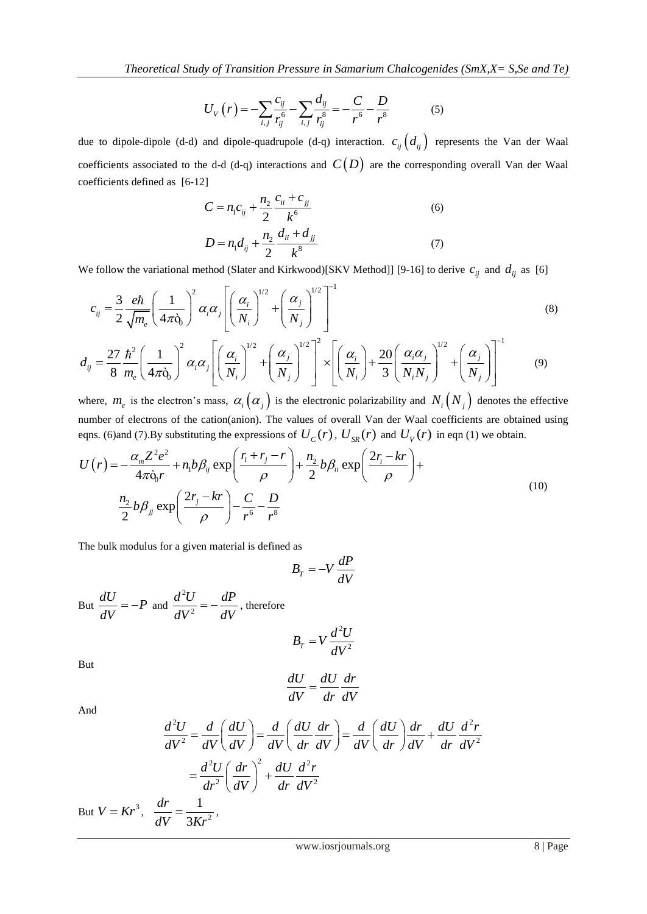$$
U_V(r) = -\sum_{i,j} \frac{c_{ij}}{r_{ij}^6} - \sum_{i,j} \frac{d_{ij}}{r_{ij}^8} = -\frac{C}{r^6} - \frac{D}{r^8}
$$
 (5)

due to dipole-dipole (d-d) and dipole-quadrupole (d-q) interaction.  $c_{ij}$   $(d_{ij})$  represents the Van der Waal coefficients associated to the d-d (d-q) interactions and  $C(D)$  are the corresponding overall Van der Waal coefficients defined as [6-12]

$$
C = n_1 c_{ij} + \frac{n_2}{2} \frac{c_{ii} + c_{jj}}{k^6}
$$
  
\n
$$
D = n_1 d_{ij} + \frac{n_2}{2} \frac{d_{ii} + d_{jj}}{k^8}
$$
 (6)

We follow the variational method (Slater and Kirkwood)[SKV Method]] [9-16] to derive  $c_{ij}$  and  $d_{ij}$  as [6]

We follow the variational method (Slater and Kirkwood)[SKV Method]] [9-16] to derive 
$$
c_{ij}
$$
 and  $d_{ij}$  as [6]  
\n
$$
c_{ij} = \frac{3}{2} \frac{e\hbar}{\sqrt{m_e}} \left(\frac{1}{4\pi\delta_0}\right)^2 \alpha_i \alpha_j \left[\left(\frac{\alpha_i}{N_i}\right)^{1/2} + \left(\frac{\alpha_j}{N_j}\right)^{1/2}\right]^{-1}
$$
\n(8)  
\n
$$
d_{ij} = \frac{27}{8} \frac{\hbar^2}{m_e} \left(\frac{1}{4\pi\delta_0}\right)^2 \alpha_i \alpha_j \left[\left(\frac{\alpha_i}{N_i}\right)^{1/2} + \left(\frac{\alpha_j}{N_j}\right)^{1/2}\right]^2 \times \left[\left(\frac{\alpha_i}{N_i}\right) + \frac{20}{3} \left(\frac{\alpha_i \alpha_j}{N_i N_j}\right)^{1/2} + \left(\frac{\alpha_j}{N_j}\right)\right]^{-1}
$$
\n(9)

where,  $m_e$  is the electron's mass,  $\alpha_i(\alpha_j)$  is the electronic polarizability and  $N_i(N_j)$  denotes the effective number of electrons of the cation(anion). The values of overall Van der Waal coefficients are obtained using anion). The values of overall Van der Waal coefficie<br>expressions of  $U_C(r)$ ,  $U_{SR}(r)$  and  $U_V(r)$  in eqn (<br> $\left(\frac{r_i + r_j - r}{r_i + r_j}\right) + \frac{n_2}{r_i} b \beta_{ij} \exp\left(\frac{2r_i - kr}{r_i + r_j}\right) +$ 

number of electrons of the cation(anion). The values of overall Van der Waal coefficients are obtained u  
eqns. (6) and (7).By substituting the expressions of 
$$
U_C(r)
$$
,  $U_{SR}(r)$  and  $U_V(r)$  in eqn (1) we obtain.  

$$
U(r) = -\frac{\alpha_m Z^2 e^2}{4\pi \hat{\rho}_0 r} + n_1 b \beta_{ij} \exp\left(\frac{r_i + r_j - r}{\rho}\right) + \frac{n_2}{2} b \beta_{ii} \exp\left(\frac{2r_i - kr}{\rho}\right) + \frac{n_2}{2} b \beta_{jj} \exp\left(\frac{2r_j - kr}{\rho}\right)
$$
(10)

The bulk modulus for a given material is defined as

$$
B_T = -V \frac{dP}{dV}
$$

But 
$$
\frac{dU}{dV} = -P
$$
 and  $\frac{d^2U}{dV^2} = -\frac{dP}{dV}$ , therefore

$$
B_T = V \frac{d^2 U}{dV^2}
$$

But

$$
\frac{dU}{dV} = \frac{dU}{dr}\frac{dr}{dV}
$$

And

$$
\frac{d^2U}{dV} = \frac{d}{dr}\frac{dV}{dV}
$$
  

$$
\frac{d^2U}{dV^2} = \frac{d}{dV}\left(\frac{dU}{dV}\right) = \frac{d}{dV}\left(\frac{dU}{dr}\frac{dr}{dV}\right) = \frac{d}{dV}\left(\frac{dU}{dr}\right)\frac{dr}{dV} + \frac{dU}{dr}\frac{d^2r}{dV^2}
$$

$$
= \frac{d^2U}{dr^2}\left(\frac{dr}{dV}\right)^2 + \frac{dU}{dr}\frac{d^2r}{dV^2}
$$
  

$$
= \frac{dr}{dV} = \frac{1}{3Vr^2},
$$

But  $V = Kr^3$ , 3 *dV Kr*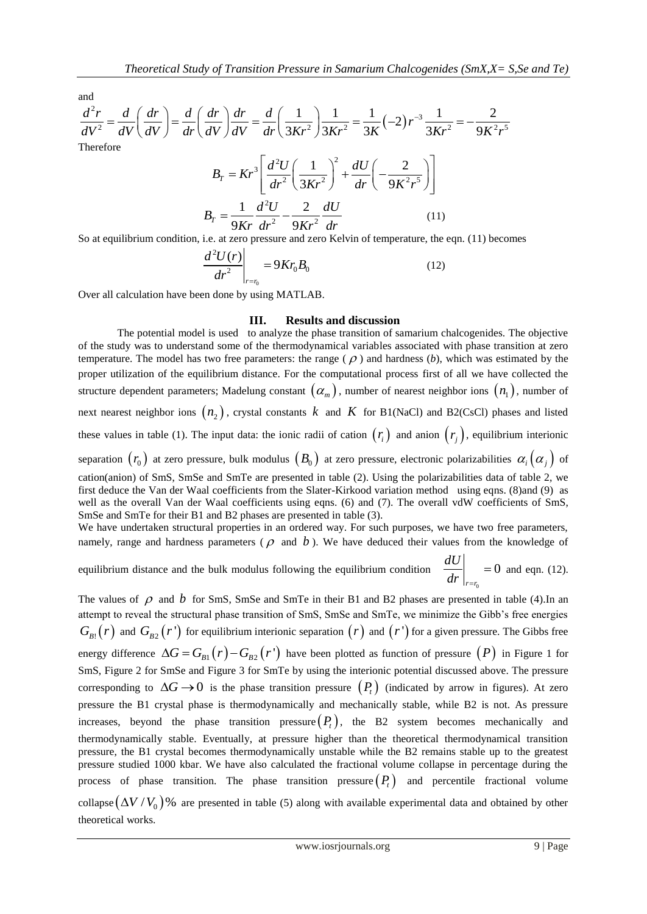and

Theoretical Study of Transition Pressure in Samarium Chalcogenides (SmX,X= S,Se and Te)  
\nand  
\n
$$
\frac{d^2r}{dV^2} = \frac{d}{dV} \left( \frac{dr}{dV} \right) = \frac{d}{dr} \left( \frac{dr}{dV} \right) \frac{dr}{dV} = \frac{d}{dr} \left( \frac{1}{3Kr^2} \right) \frac{1}{3Kr^2} = \frac{1}{3K} (-2) r^{-3} \frac{1}{3Kr^2} = -\frac{2}{9K^2 r^5}
$$
\nTherefore  
\n
$$
B_T = Kr^3 \left[ \frac{d^2U}{dr^2} \left( \frac{1}{3Kr^2} \right)^2 + \frac{dU}{dr} \left( -\frac{2}{9K^2 r^5} \right) \right]
$$
\n
$$
B_T = \frac{1}{9Kr} \frac{d^2U}{dr^2} - \frac{2}{9Kr^2} \frac{dU}{dr}
$$
\n(11)

So at equilibrium condition, i.e. at zero pressure and zero Kelvin of temperature, the eqn. (11) becomes

$$
\left. \frac{d^2 U(r)}{dr^2} \right|_{r=r_0} = 9Kr_0 B_0 \tag{12}
$$

Over all calculation have been done by using MATLAB.

#### **III. Results and discussion**

The potential model is used to analyze the phase transition of samarium chalcogenides. The objective of the study was to understand some of the thermodynamical variables associated with phase transition at zero temperature. The model has two free parameters: the range  $(\rho)$  and hardness  $(b)$ , which was estimated by the proper utilization of the equilibrium distance. For the computational process first of all we have collected the structure dependent parameters; Madelung constant  $(\alpha_m)$ , number of nearest neighbor ions  $(n_1)$ , number of next nearest neighbor ions  $(n_2)$ , crystal constants k and K for B1(NaCl) and B2(CsCl) phases and listed these values in table (1). The input data: the ionic radii of cation  $(r<sub>i</sub>)$  and anion  $(r<sub>j</sub>)$ , equilibrium interionic separation  $(r_0)$  at zero pressure, bulk modulus  $(B_0)$  at zero pressure, electronic polarizabilities  $\alpha_i(\alpha_j)$  of cation(anion) of SmS, SmSe and SmTe are presented in table (2). Using the polarizabilities data of table 2, we first deduce the Van der Waal coefficients from the Slater-Kirkood variation method using eqns. (8)and (9) as well as the overall Van der Waal coefficients using eqns. (6) and (7). The overall vdW coefficients of SmS, SmSe and SmTe for their B1 and B2 phases are presented in table (3).

We have undertaken structural properties in an ordered way. For such purposes, we have two free parameters, namely, range and hardness parameters ( $\rho$  and  $b$ ). We have deduced their values from the knowledge of

equilibrium distance and the bulk modulus following the equilibrium condition  $\mathbf{0}$  $\boldsymbol{0}$  $r = r$ *dU*  $\frac{dr}{r}$  $= 0$  and eqn. (12).

The values of  $\rho$  and  $b$  for SmS, SmSe and SmTe in their B1 and B2 phases are presented in table (4). In an attempt to reveal the structural phase transition of SmS, SmSe and SmTe, we minimize the Gibb's free energies  $G_{B}^{\{r\}}(r)$  and  $G_{B2}^{\{r\}}(r')$  for equilibrium interionic separation  $(r)$  and  $(r')$  for a given pressure. The Gibbs free energy difference  $\Delta G = G_{B1}(r) - G_{B2}(r')$  have been plotted as function of pressure  $(P)$  in [Figure 1](#page-4-0) for SmS, [Figure 2](#page-4-1) for SmSe and [Figure 3](#page-5-0) for SmTe by using the interionic potential discussed above. The pressure corresponding to  $\Delta G \rightarrow 0$  is the phase transition pressure  $(P_t)$  (indicated by arrow in figures). At zero pressure the B1 crystal phase is thermodynamically and mechanically stable, while B2 is not. As pressure increases, beyond the phase transition pressure  $(P_t)$ , the B2 system becomes mechanically and thermodynamically stable. Eventually, at pressure higher than the theoretical thermodynamical transition pressure, the B1 crystal becomes thermodynamically unstable while the B2 remains stable up to the greatest pressure studied 1000 kbar. We have also calculated the fractional volume collapse in percentage during the process of phase transition. The phase transition pressure  $(P_t)$  and percentile fractional volume collapse  $(\Delta V/V_0)$ % are presented in table (5) along with available experimental data and obtained by other theoretical works.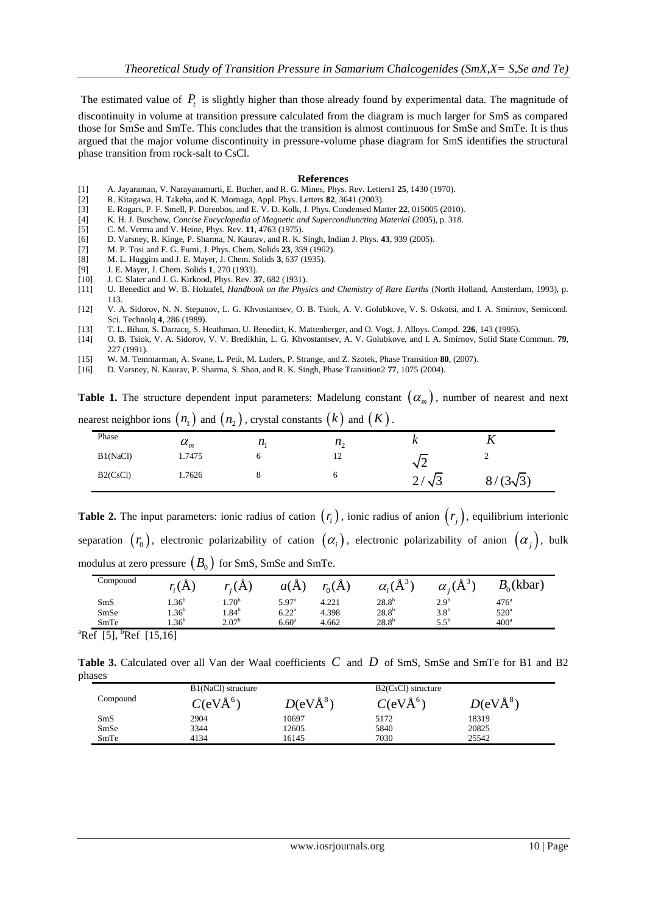The estimated value of  $P<sub>t</sub>$  is slightly higher than those already found by experimental data. The magnitude of discontinuity in volume at transition pressure calculated from the diagram is much larger for SmS as compared those for SmSe and SmTe. This concludes that the transition is almost continuous for SmSe and SmTe. It is thus argued that the major volume discontinuity in pressure-volume phase diagram for SmS identifies the structural phase transition from rock-salt to CsCl.

#### **References**

- [1] A. Jayaraman, V. Narayanamurti, E. Bucher, and R. G. Mines, Phys. Rev. Letters1 **25**, 1430 (1970).
- [2] R. Kitagawa, H. Takeba, and K. Mornaga, Appl. Phys. Letters **82**, 3641 (2003).
- [3] E. Rogars, P. F. Smell, P. Dorenbos, and E. V. D. Kolk, J. Phys. Condensed Matter **22**, 015005 (2010).
- [4] K. H. J. Buschow, *Concise Encyclopedia of Magnetic and Supercondiuncting Material* (2005), p. 318.
- [5] C. M. Verma and V. Heine, Phys. Rev. **11**, 4763 (1975).
- [6] D. Varsney, R. Kinge, P. Sharma, N. Kaurav, and R. K. Singh, Indian J. Phys. **43**, 939 (2005).
- [7] M. P. Tosi and F. G. Fumi, J. Phys. Chem. Solids **23**, 359 (1962).
- [8] M. L. Huggins and J. E. Mayer, J. Chem. Solids **3**, 637 (1935).
- [9] J. E. Mayer, J. Chem. Solids **1**, 270 (1933).
- [10] J. C. Slater and J. G. Kirkood, Phys. Rev. **37**, 682 (1931).
- U. Benedict and W. B. Holzafel, *Handbook on the Physics and Chemistry of Rare Earths* (North Holland, Amsterdam, 1993), p. 113.
- [12] V. A. Sidorov, N. N. Stepanov, L. G. Khvostantsev, O. B. Tsiok, A. V. Golubkove, V. S. Oskotsi, and I. A. Smirnov, Semicond. Sci. Technolq **4**, 286 (1989).
- [13] T. L. Bihan, S. Darracq, S. Heathman, U. Benedict, K. Mattenberger, and O. Vogt, J. Alloys. Compd. **226**, 143 (1995).
- [14] O. B. Tsiok, V. A. Sidorov, V. V. Bredikhin, L. G. Khvostantsev, A. V. Golubkove, and I. A. Smirnov, Solid State Commun. **79**, 227 (1991).
- [15] W. M. Temmarman, A. Svane, L. Petit, M. Luders, P. Strange, and Z. Szotek, Phase Transition **80**, (2007).
- [16] D. Varsney, N. Kaurav, P. Sharma, S. Shan, and R. K. Singh, Phase Transition2 **77**, 1075 (2004).

**Table 1.** The structure dependent input parameters: Madelung constant  $(\alpha_m)$ , number of nearest and next nearest neighbor ions  $\big( n_1^{} \big)$  and  $\big( n_2^{} \big)$  , crystal constants  $\big( k \big)$  and  $\big( K \big)$  .

|          |                  | . .       |                   |                        |                                 |
|----------|------------------|-----------|-------------------|------------------------|---------------------------------|
| Phase    | $\alpha_{\rm m}$ | $\mu_{1}$ | $n_{\alpha}$<br>∸ | $\sim$                 |                                 |
| B1(NaCl) | 1.7475           |           | 12 <sup>2</sup>   | N∠                     | ∸                               |
| B2(CsCl) | 1.7626           |           |                   | ⌒<br>$\sqrt{3}$<br>ر گ | $(3\sqrt{3})$<br>$\mathbf{o}$ , |

**Table 2.** The input parameters: ionic radius of cation  $(r<sub>i</sub>)$ , ionic radius of anion  $(r<sub>j</sub>)$ , equilibrium interionic separation  $(r_0)$ , electronic polarizability of cation  $(\alpha_i)$ , electronic polarizability of anion  $(\alpha_j)$ , bulk modulus at zero pressure  $\left(B_{0}\right)$  for SmS, SmSe and SmTe.

| Compound | r(G)             | (A)               | a(A)              | $r_{0}(A)$ | $\alpha_i(\AA^{3}$ | $\alpha_i(A)$    | $B_0$ (kbar)     |
|----------|------------------|-------------------|-------------------|------------|--------------------|------------------|------------------|
| SmS      | .36 <sup>b</sup> | $1.70^{b}$        | 5.97 <sup>a</sup> | 4.221      | $28.8^{b}$         | 2.9 <sup>b</sup> | 476 <sup>a</sup> |
| SmSe     | $1.36^{b}$       | $1.84^b$          | 6.22 <sup>a</sup> | 4.398      | $28.8^{b}$         | 3.8 <sup>b</sup> | $520^{\circ}$    |
| SmTe     | $1.36^{b}$       | 2.07 <sup>b</sup> | 6.60 <sup>a</sup> | 4.662      | $28.8^{b}$         | $5.5^{\rm b}$    | 400 <sup>a</sup> |

<sup>a</sup>Ref [5], <sup>b</sup>Ref [15,16]

Table 3. Calculated over all Van der Waal coefficients C and D of SmS, SmSe and SmTe for B1 and B2 phases

|          | B1(NaCl) structure   |            | B2(CsCl) structure       |            |
|----------|----------------------|------------|--------------------------|------------|
| Compound | C(eVÅ <sup>6</sup> ) | $D(eVÅ^8)$ | $C$ (eV $\rm{\AA}^{6}$ ) | $D(eVÅ^8)$ |
| SmS      | 2904                 | 10697      | 5172                     | 18319      |
| SmSe     | 3344                 | 12605      | 5840                     | 20825      |
| SmTe     | 4134                 | 16145      | 7030                     | 25542      |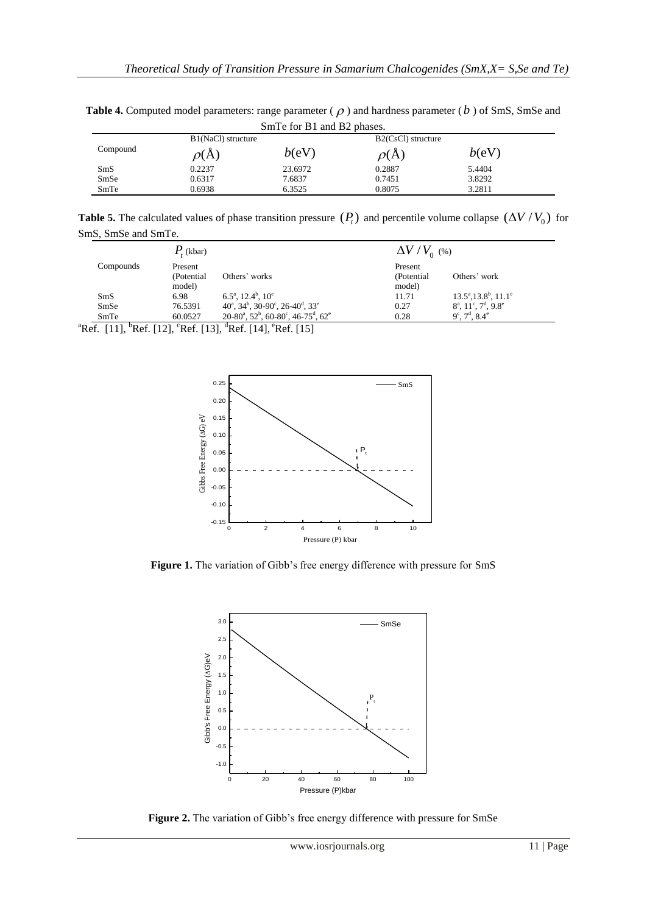Table 4. Computed model parameters: range parameter ( $\rho$ ) and hardness parameter ( $b$ ) of SmS, SmSe and SmTe for B1 and B2 phases.

|          | $\mathbf{D}_{\text{III}}$ to $\mathbf{D}_{\text{II}}$ and $\mathbf{D}_{\text{II}}$ becomes. |         |                    |        |  |
|----------|---------------------------------------------------------------------------------------------|---------|--------------------|--------|--|
|          | B1(NaCl) structure                                                                          |         | B2(CsCl) structure |        |  |
| Compound | $\rho(A)$                                                                                   | b(eV)   | $\rho(A)$          | b(eV)  |  |
| SmS      | 0.2237                                                                                      | 23.6972 | 0.2887             | 5.4404 |  |
| SmSe     | 0.6317                                                                                      | 7.6837  | 0.7451             | 3.8292 |  |
| SmTe     | 0.6938                                                                                      | 6.3525  | 0.8075             | 3.2811 |  |

**Table 5.** The calculated values of phase transition pressure  $(P_t)$  and percentile volume collapse  $(\Delta V/V_0)$  for SmS, SmSe and SmTe.

|           | $P_{\epsilon}$ (kbar) |                                                                                                        | $\Delta V/V_{0}$ (%) |                                            |
|-----------|-----------------------|--------------------------------------------------------------------------------------------------------|----------------------|--------------------------------------------|
| Compounds | Present               |                                                                                                        | Present              |                                            |
|           | (Potential)           | Others' works                                                                                          | (Potential)          | Others' work                               |
|           | model)                |                                                                                                        | model)               |                                            |
| SmS       | 6.98                  | $6.5^{\text{a}}$ , $12.4^{\text{b}}$ , $10^{\text{e}}$                                                 | 11.71                | $13.5^{\circ}, 13.8^{\circ}, 11.1^{\circ}$ |
| SmSe      | 76.5391               | $40^{\degree}$ , $34^{\degree}$ , $30\text{-}90^{\degree}$ , $26\text{-}40^{\degree}$ , $33^{\degree}$ | 0.27                 | $8^a$ , $11^c$ , $7^d$ , $9.8^e$           |
| SmTe      | 60.0527               | $20-80^{\circ}, 52^{\circ}, 60-80^{\circ}, 46-75^{\circ}, 62^{\circ}$                                  | 0.28                 | $9^c$ , $7^d$ , $8.4^e$                    |

<sup>a</sup>Ref. [11], <sup>b</sup>Ref. [12], <sup>c</sup>Ref. [13], <sup>d</sup>Ref. [14], <sup>e</sup>Ref. [15]



<span id="page-4-0"></span>**Figure 1.** The variation of Gibb's free energy difference with pressure for SmS



<span id="page-4-1"></span>**Figure 2.** The variation of Gibb's free energy difference with pressure for SmSe